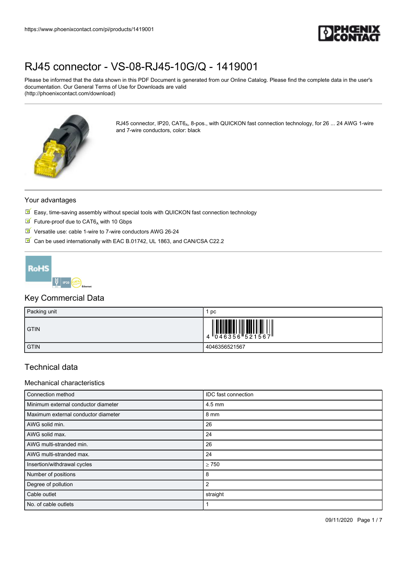

Please be informed that the data shown in this PDF Document is generated from our Online Catalog. Please find the complete data in the user's documentation. Our General Terms of Use for Downloads are valid (http://phoenixcontact.com/download)



RJ45 connector, IP20, CAT6<sub>A</sub>, 8-pos., with QUICKON fast connection technology, for 26 ... 24 AWG 1-wire and 7-wire conductors, color: black

### Your advantages

- $\mathbb F$  Easy, time-saving assembly without special tools with QUICKON fast connection technology
- $\blacksquare$  Future-proof due to CAT6<sub>A</sub> with 10 Gbps
- Versatile use: cable 1-wire to 7-wire conductors AWG 26-24
- Can be used internationally with EAC B.01742, UL 1863, and CAN/CSA C22.2



## Key Commercial Data

| Packing unit | pc                                     |
|--------------|----------------------------------------|
| <b>GTIN</b>  | $4\frac{\pi}{646356}\frac{1}{521567}\$ |
| <b>GTIN</b>  | 4046356521567                          |

## Technical data

#### Mechanical characteristics

| Connection method                   | IDC fast connection |
|-------------------------------------|---------------------|
| Minimum external conductor diameter | $4.5 \text{ mm}$    |
| Maximum external conductor diameter | 8 mm                |
| AWG solid min.                      | 26                  |
| AWG solid max.                      | 24                  |
| AWG multi-stranded min.             | 26                  |
| AWG multi-stranded max.             | 24                  |
| Insertion/withdrawal cycles         | > 750               |
| Number of positions                 | 8                   |
| Degree of pollution                 | 2                   |
| Cable outlet                        | straight            |
| No. of cable outlets                |                     |

09/11/2020 Page 1 / 7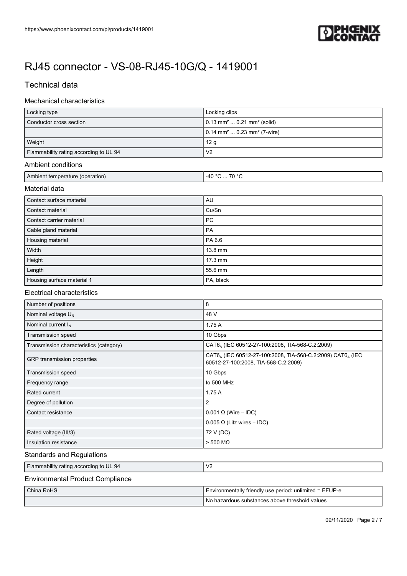

# Technical data

## Mechanical characteristics

| Locking type                                     | Locking clips                                          |  |  |
|--------------------------------------------------|--------------------------------------------------------|--|--|
| Conductor cross section                          | $0.13$ mm <sup>2</sup> $0.21$ mm <sup>2</sup> (solid)  |  |  |
|                                                  | $0.14$ mm <sup>2</sup> $0.23$ mm <sup>2</sup> (7-wire) |  |  |
| Weight                                           | 12 g                                                   |  |  |
| Flammability rating according to UL 94           | V <sub>2</sub>                                         |  |  |
| Ambient conditions                               |                                                        |  |  |
| -40 °C  70 °C<br>Ambient temperature (operation) |                                                        |  |  |
| Material data                                    |                                                        |  |  |
| Contact surface material                         | AU                                                     |  |  |
| Contact material                                 | Cu/Sn                                                  |  |  |
| Contact carrier material                         | <b>PC</b>                                              |  |  |
| Cable gland material                             | PA                                                     |  |  |
| Housing material                                 | PA 6.6                                                 |  |  |
| Width                                            | 13.8 mm                                                |  |  |
| Height                                           | 17.3 mm                                                |  |  |
| Length                                           | 55.6 mm                                                |  |  |
| Housing surface material 1                       | PA, black                                              |  |  |

### Electrical characteristics

| Number of positions                     | 8                                                                                                                          |  |  |
|-----------------------------------------|----------------------------------------------------------------------------------------------------------------------------|--|--|
| Nominal voltage $U_N$                   | 48 V                                                                                                                       |  |  |
| Nominal current $I_N$                   | 1.75A                                                                                                                      |  |  |
| Transmission speed                      | 10 Gbps                                                                                                                    |  |  |
| Transmission characteristics (category) | CAT6, (IEC 60512-27-100:2008, TIA-568-C.2:2009)                                                                            |  |  |
| GRP transmission properties             | CAT6 <sub>A</sub> (IEC 60512-27-100:2008, TIA-568-C.2:2009) CAT6 <sub>A</sub> (IEC<br>60512-27-100:2008, TIA-568-C.2:2009) |  |  |
| Transmission speed                      | 10 Gbps                                                                                                                    |  |  |
| Frequency range                         | to 500 MHz                                                                                                                 |  |  |
| Rated current                           | 1.75A                                                                                                                      |  |  |
| Degree of pollution                     | 2                                                                                                                          |  |  |
| Contact resistance                      | $0.001 \Omega$ (Wire – IDC)                                                                                                |  |  |
|                                         | $0.005 \Omega$ (Litz wires - IDC)                                                                                          |  |  |
| Rated voltage (III/3)                   | 72 V (DC)                                                                                                                  |  |  |
| Insulation resistance                   | $> 500$ M $\Omega$                                                                                                         |  |  |

### Standards and Regulations

| Flammability rating according to UL 94 | V <sub>2</sub> |
|----------------------------------------|----------------|
|                                        |                |

### Environmental Product Compliance

| China RoHS | Environmentally friendly use period: unlimited = EFUP-e |  |
|------------|---------------------------------------------------------|--|
|            | I No hazardous substances above threshold values        |  |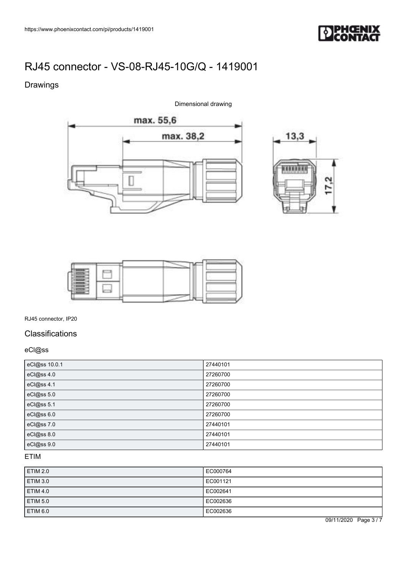

# Drawings

Dimensional drawing







RJ45 connector, IP20

# Classifications

## eCl@ss

| eCl@ss 10.0.1 | 27440101 |
|---------------|----------|
| eCl@ss 4.0    | 27260700 |
| eCl@ss 4.1    | 27260700 |
| eCl@ss 5.0    | 27260700 |
| eCl@ss 5.1    | 27260700 |
| eCl@ss 6.0    | 27260700 |
| eCl@ss 7.0    | 27440101 |
| eCl@ss 8.0    | 27440101 |
| eCl@ss 9.0    | 27440101 |

# ETIM

| <b>ETIM 2.0</b> | EC000764 |
|-----------------|----------|
| <b>ETIM 3.0</b> | EC001121 |
| <b>ETIM 4.0</b> | EC002641 |
| <b>ETIM 5.0</b> | EC002636 |
| ETIM 6.0        | EC002636 |

09/11/2020 Page 3 / 7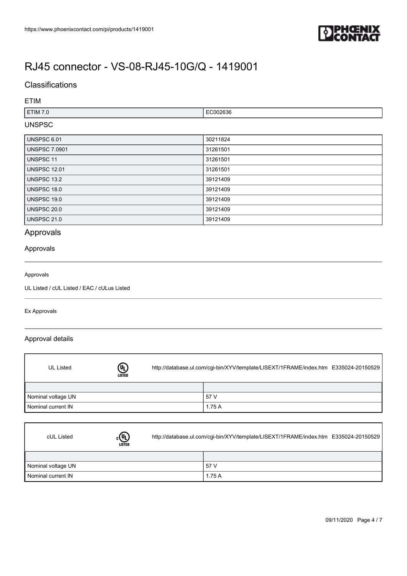

## **Classifications**

### ETIM

| <b>Service State</b><br><b>ETIM 7.0</b> | - ^ ^ ^<br><b>1126</b> ക<br>ли |
|-----------------------------------------|--------------------------------|
|                                         |                                |

# UNSPSC

| UNSPSC 6.01          | 30211824 |
|----------------------|----------|
| <b>UNSPSC 7.0901</b> | 31261501 |
| UNSPSC 11            | 31261501 |
| <b>UNSPSC 12.01</b>  | 31261501 |
| <b>UNSPSC 13.2</b>   | 39121409 |
| UNSPSC 18.0          | 39121409 |
| UNSPSC 19.0          | 39121409 |
| <b>UNSPSC 20.0</b>   | 39121409 |
| <b>UNSPSC 21.0</b>   | 39121409 |

# Approvals

### Approvals

#### Approvals

UL Listed / cUL Listed / EAC / cULus Listed

### Ex Approvals

ſ

 $\Gamma$ 

### Approval details

| <b>UL Listed</b>   | $\mathbb{Q}$<br><b>LISTED</b> | http://database.ul.com/cgi-bin/XYV/template/LISEXT/1FRAME/index.htm E335024-20150529 |       |  |
|--------------------|-------------------------------|--------------------------------------------------------------------------------------|-------|--|
|                    |                               |                                                                                      |       |  |
| Nominal voltage UN |                               |                                                                                      | 57 V  |  |
| Nominal current IN |                               |                                                                                      | 1.75A |  |

| cUL Listed         | $_{\scriptscriptstyle\rm c}$ (h)<br><b>LISTED</b> | http://database.ul.com/cgi-bin/XYV/template/LISEXT/1FRAME/index.htm E335024-20150529 |       |  |
|--------------------|---------------------------------------------------|--------------------------------------------------------------------------------------|-------|--|
|                    |                                                   |                                                                                      |       |  |
| Nominal voltage UN |                                                   |                                                                                      | 57 V  |  |
| Nominal current IN |                                                   |                                                                                      | 1.75A |  |

٦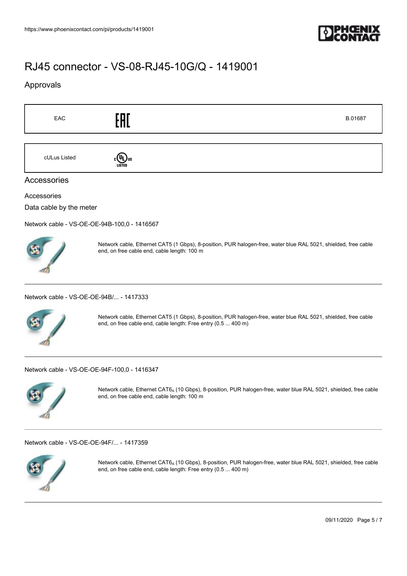

## Approvals

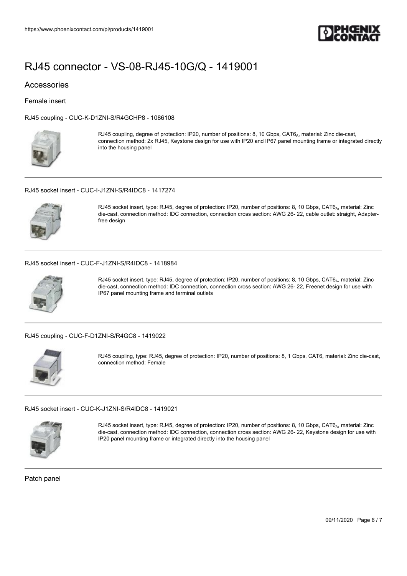

### Accessories

Female insert

[RJ45 coupling - CUC-K-D1ZNI-S/R4GCHP8 - 1086108](https://www.phoenixcontact.com/de/products/1086108)



RJ45 coupling, degree of protection: IP20, number of positions: 8, 10 Gbps, CAT6<sub>A</sub>, material: Zinc die-cast, connection method: 2x RJ45, Keystone design for use with IP20 and IP67 panel mounting frame or integrated directly into the housing panel

#### [RJ45 socket insert - CUC-I-J1ZNI-S/R4IDC8 - 1417274](https://www.phoenixcontact.com/de/products/1417274)



RJ45 socket insert, type: RJ45, degree of protection: IP20, number of positions: 8, 10 Gbps, CAT6<sub>A</sub>, material: Zinc die-cast, connection method: IDC connection, connection cross section: AWG 26- 22, cable outlet: straight, Adapterfree design

#### [RJ45 socket insert - CUC-F-J1ZNI-S/R4IDC8 - 1418984](https://www.phoenixcontact.com/de/products/1418984)



RJ45 socket insert, type: RJ45, degree of protection: IP20, number of positions: 8, 10 Gbps, CAT6<sub>A</sub>, material: Zinc die-cast, connection method: IDC connection, connection cross section: AWG 26- 22, Freenet design for use with IP67 panel mounting frame and terminal outlets

#### [RJ45 coupling - CUC-F-D1ZNI-S/R4GC8 - 1419022](https://www.phoenixcontact.com/de/products/1419022)



RJ45 coupling, type: RJ45, degree of protection: IP20, number of positions: 8, 1 Gbps, CAT6, material: Zinc die-cast, connection method: Female

#### [RJ45 socket insert - CUC-K-J1ZNI-S/R4IDC8 - 1419021](https://www.phoenixcontact.com/de/products/1419021)



RJ45 socket insert, type: RJ45, degree of protection: IP20, number of positions: 8, 10 Gbps, CAT6<sub>A</sub>, material: Zinc die-cast, connection method: IDC connection, connection cross section: AWG 26- 22, Keystone design for use with IP20 panel mounting frame or integrated directly into the housing panel

Patch panel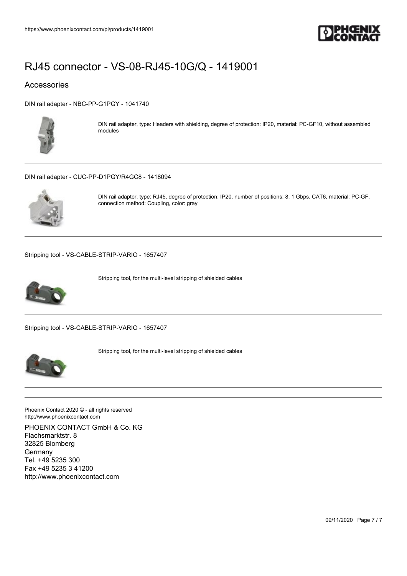

## Accessories

[DIN rail adapter - NBC-PP-G1PGY - 1041740](https://www.phoenixcontact.com/de/products/1041740)



DIN rail adapter, type: Headers with shielding, degree of protection: IP20, material: PC-GF10, without assembled modules

#### [DIN rail adapter - CUC-PP-D1PGY/R4GC8 - 1418094](https://www.phoenixcontact.com/de/products/1418094)



DIN rail adapter, type: RJ45, degree of protection: IP20, number of positions: 8, 1 Gbps, CAT6, material: PC-GF, connection method: Coupling, color: gray

[Stripping tool - VS-CABLE-STRIP-VARIO - 1657407](https://www.phoenixcontact.com/de/products/1657407)



Stripping tool, for the multi-level stripping of shielded cables

[Stripping tool - VS-CABLE-STRIP-VARIO - 1657407](https://www.phoenixcontact.com/de/products/1657407)



Stripping tool, for the multi-level stripping of shielded cables

Phoenix Contact 2020 © - all rights reserved http://www.phoenixcontact.com

PHOENIX CONTACT GmbH & Co. KG Flachsmarktstr. 8 32825 Blomberg **Germany** Tel. +49 5235 300 Fax +49 5235 3 41200 http://www.phoenixcontact.com